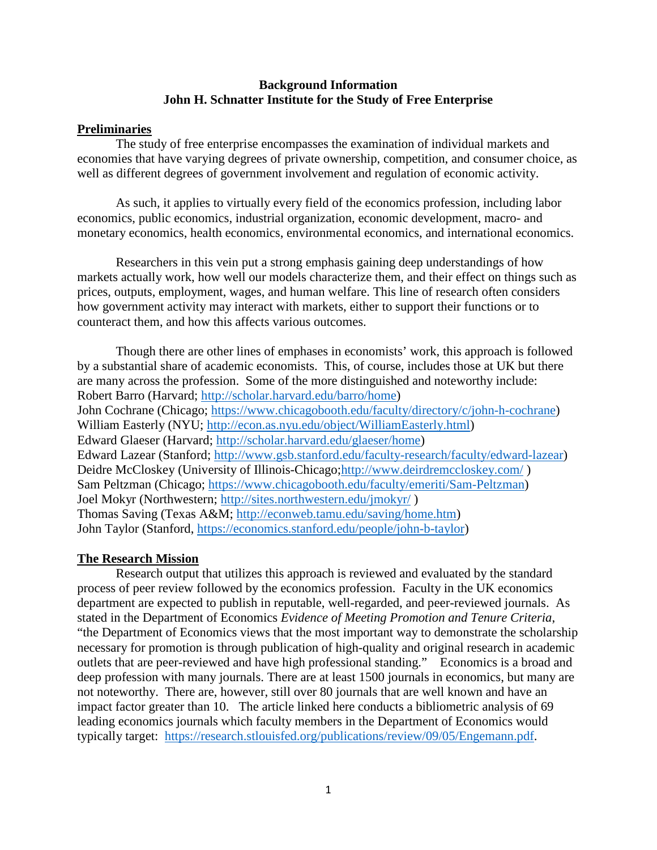## **Background Information John H. Schnatter Institute for the Study of Free Enterprise**

## **Preliminaries**

The study of free enterprise encompasses the examination of individual markets and economies that have varying degrees of private ownership, competition, and consumer choice, as well as different degrees of government involvement and regulation of economic activity.

As such, it applies to virtually every field of the economics profession, including labor economics, public economics, industrial organization, economic development, macro- and monetary economics, health economics, environmental economics, and international economics.

Researchers in this vein put a strong emphasis gaining deep understandings of how markets actually work, how well our models characterize them, and their effect on things such as prices, outputs, employment, wages, and human welfare. This line of research often considers how government activity may interact with markets, either to support their functions or to counteract them, and how this affects various outcomes.

Though there are other lines of emphases in economists' work, this approach is followed by a substantial share of academic economists. This, of course, includes those at UK but there are many across the profession. Some of the more distinguished and noteworthy include: Robert Barro (Harvard; [http://scholar.harvard.edu/barro/home\)](http://scholar.harvard.edu/barro/home) John Cochrane (Chicago; [https://www.chicagobooth.edu/faculty/directory/c/john-h-cochrane\)](https://www.chicagobooth.edu/faculty/directory/c/john-h-cochrane) William Easterly (NYU; [http://econ.as.nyu.edu/object/WilliamEasterly.html\)](http://econ.as.nyu.edu/object/WilliamEasterly.html) Edward Glaeser (Harvard; [http://scholar.harvard.edu/glaeser/home\)](http://scholar.harvard.edu/glaeser/home) Edward Lazear (Stanford; [http://www.gsb.stanford.edu/faculty-research/faculty/edward-lazear\)](http://www.gsb.stanford.edu/faculty-research/faculty/edward-lazear) Deidre McCloskey (University of Illinois-Chicago[;http://www.deirdremccloskey.com/](http://www.deirdremccloskey.com/) ) Sam Peltzman (Chicago; [https://www.chicagobooth.edu/faculty/emeriti/Sam-Peltzman\)](https://www.chicagobooth.edu/faculty/emeriti/Sam-Peltzman) Joel Mokyr (Northwestern;<http://sites.northwestern.edu/jmokyr/> ) Thomas Saving (Texas A&M; [http://econweb.tamu.edu/saving/home.htm\)](http://econweb.tamu.edu/saving/home.htm) John Taylor (Stanford, [https://economics.stanford.edu/people/john-b-taylor\)](https://economics.stanford.edu/people/john-b-taylor)

#### **The Research Mission**

Research output that utilizes this approach is reviewed and evaluated by the standard process of peer review followed by the economics profession. Faculty in the UK economics department are expected to publish in reputable, well-regarded, and peer-reviewed journals. As stated in the Department of Economics *Evidence of Meeting Promotion and Tenure Criteria*, "the Department of Economics views that the most important way to demonstrate the scholarship necessary for promotion is through publication of high-quality and original research in academic outlets that are peer-reviewed and have high professional standing." Economics is a broad and deep profession with many journals. There are at least 1500 journals in economics, but many are not noteworthy. There are, however, still over 80 journals that are well known and have an impact factor greater than 10. The article linked here conducts a bibliometric analysis of 69 leading economics journals which faculty members in the Department of Economics would typically target: [https://research.stlouisfed.org/publications/review/09/05/Engemann.pdf.](https://research.stlouisfed.org/publications/review/09/05/Engemann.pdf)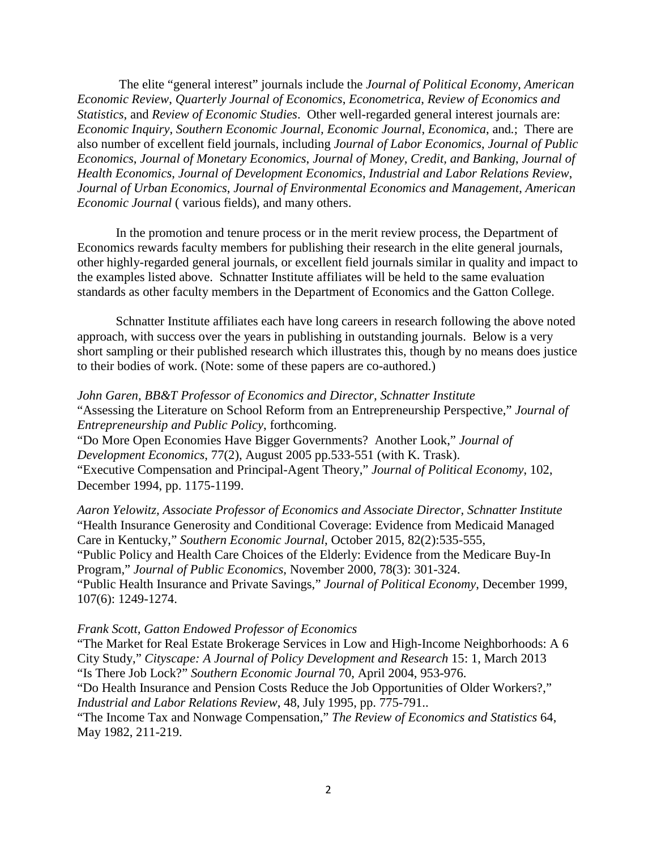The elite "general interest" journals include the *Journal of Political Economy*, *American Economic Review*, *Quarterly Journal of Economics*, *Econometrica*, *Review of Economics and Statistics*, and *Review of Economic Studies*. Other well-regarded general interest journals are: *Economic Inquiry*, *Southern Economic Journal, Economic Journal*, *Economica*, and*.*; There are also number of excellent field journals, including *Journal of Labor Economics*, *Journal of Public Economics*, *Journal of Monetary Economics*, *Journal of Money, Credit, and Banking*, *Journal of Health Economics*, *Journal of Development Economics*, *Industrial and Labor Relations Review*, *Journal of Urban Economics*, *Journal of Environmental Economics and Management*, *American Economic Journal* ( various fields), and many others.

In the promotion and tenure process or in the merit review process, the Department of Economics rewards faculty members for publishing their research in the elite general journals, other highly-regarded general journals, or excellent field journals similar in quality and impact to the examples listed above. Schnatter Institute affiliates will be held to the same evaluation standards as other faculty members in the Department of Economics and the Gatton College.

Schnatter Institute affiliates each have long careers in research following the above noted approach, with success over the years in publishing in outstanding journals. Below is a very short sampling or their published research which illustrates this, though by no means does justice to their bodies of work. (Note: some of these papers are co-authored.)

*John Garen, BB&T Professor of Economics and Director, Schnatter Institute* "Assessing the Literature on School Reform from an Entrepreneurship Perspective," *Journal of Entrepreneurship and Public Policy*, forthcoming. "Do More Open Economies Have Bigger Governments? Another Look," *Journal of Development Economics*, 77(2), August 2005 pp.533-551 (with K. Trask). "Executive Compensation and Principal-Agent Theory," *Journal of Political Economy*, 102, December 1994, pp. 1175-1199.

*Aaron Yelowitz, Associate Professor of Economics and Associate Director, Schnatter Institute* "Health Insurance Generosity and Conditional Coverage: Evidence from Medicaid Managed Care in Kentucky," *Southern Economic Journal*, October 2015, 82(2):535-555, "Public Policy and Health Care Choices of the Elderly: Evidence from the Medicare Buy-In Program," *Journal of Public Economics*, November 2000, 78(3): 301-324. "Public Health Insurance and Private Savings," *Journal of Political Economy*, December 1999, 107(6): 1249-1274.

#### *Frank Scott, Gatton Endowed Professor of Economics*

"The Market for Real Estate Brokerage Services in Low and High-Income Neighborhoods: A 6 City Study," *Cityscape: A Journal of Policy Development and Research* 15: 1, March 2013 "Is There Job Lock?" *Southern Economic Journal* 70, April 2004, 953-976. "Do Health Insurance and Pension Costs Reduce the Job Opportunities of Older Workers?," *Industrial and Labor Relations Review*, 48, July 1995, pp. 775-791.. "The Income Tax and Nonwage Compensation," *The Review of Economics and Statistics* 64,

May 1982, 211-219.